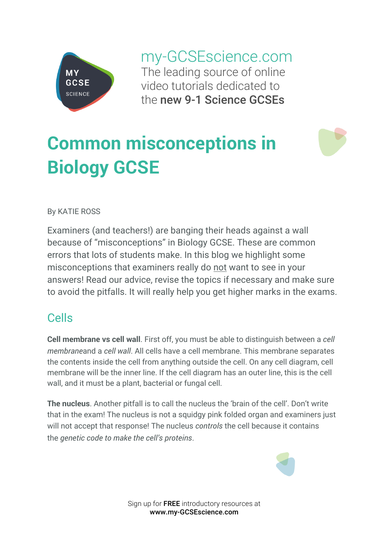

my-GCSEscience.com The leading source of online video tutorials dedicated to the new 9-1 Science GCSEs

# **Common misconceptions in Biology GCSE**

#### By KATIE ROSS

Examiners (and teachers!) are banging their heads against a wall because of "misconceptions" in Biology GCSE. These are common errors that lots of students make. In this blog we highlight some misconceptions that examiners really do not want to see in your answers! Read our advice, revise the topics if necessary and make sure to avoid the pitfalls. It will really help you get higher marks in the exams.

### Cells

**Cell membrane vs cell wall**. First off, you must be able to distinguish between a *cell membrane*and a *cell wall*. All cells have a cell membrane. This membrane separates the contents inside the cell from anything outside the cell. On any cell diagram, cell membrane will be the inner line. If the cell diagram has an outer line, this is the cell wall, and it must be a plant, bacterial or fungal cell.

**The nucleus**. Another pitfall is to call the nucleus the 'brain of the cell'. Don't write that in the exam! The nucleus is not a squidgy pink folded organ and examiners just will not accept that response! The nucleus *controls* the cell because it contains the *genetic code to make the cell's proteins*.



Sign up for FREE introductory resources at www.my-GCSEscience.com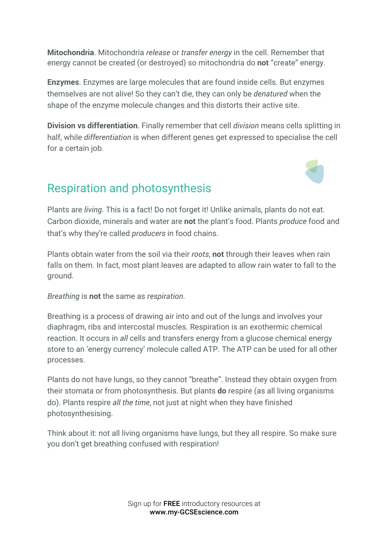**Mitochondria**. Mitochondria *release* or *transfer energy* in the cell. Remember that energy cannot be created (or destroyed) so mitochondria do **not** "create" energy.

**Enzymes**. Enzymes are large molecules that are found inside cells. But enzymes themselves are not alive! So they can't die, they can only be *denatured* when the shape of the enzyme molecule changes and this distorts their active site.

**Division vs differentiation**. Finally remember that cell *division* means cells splitting in half, while *differentiation* is when different genes get expressed to specialise the cell for a certain job.



# Respiration and photosynthesis

Plants are *living*. This is a fact! Do not forget it! Unlike animals, plants do not eat. Carbon dioxide, minerals and water are **not** the plant's food. Plants *produce* food and that's why they're called *producers* in food chains.

Plants obtain water from the soil via their *roots*, **not** through their leaves when rain falls on them. In fact, most plant leaves are adapted to allow rain water to fall to the ground.

*Breathing* is **not** the same as *respiration*.

Breathing is a process of drawing air into and out of the lungs and involves your diaphragm, ribs and intercostal muscles. Respiration is an exothermic chemical reaction. It occurs in *all* cells and transfers energy from a glucose chemical energy store to an 'energy currency' molecule called ATP. The ATP can be used for all other processes.

Plants do not have lungs, so they cannot "breathe". Instead they obtain oxygen from their stomata or from photosynthesis. But plants **do** respire (as all living organisms do). Plants respire *all the time*, not just at night when they have finished photosynthesising.

Think about it: not all living organisms have lungs, but they all respire. So make sure you don't get breathing confused with respiration!

> Sign up for **FREE** introductory resources at www.my-GCSEscience.com